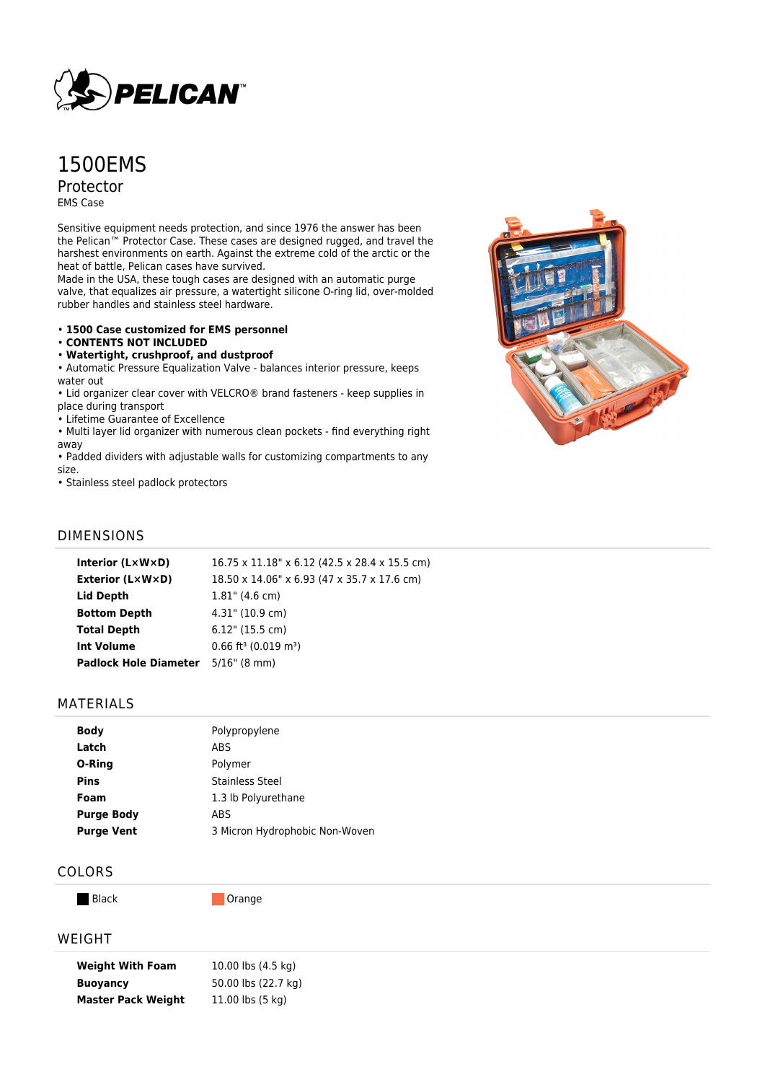

# 1500EMS

Protector EMS Case

Sensitive equipment needs protection, and since 1976 the answer has been the Pelican™ Protector Case. These cases are designed rugged, and travel the harshest environments on earth. Against the extreme cold of the arctic or the heat of battle, Pelican cases have survived.

Made in the USA, these tough cases are designed with an automatic purge valve, that equalizes air pressure, a watertight silicone O-ring lid, over-molded rubber handles and stainless steel hardware.

#### • **1500 Case customized for EMS personnel**

#### • **CONTENTS NOT INCLUDED**

• **Watertight, crushproof, and dustproof**

• Automatic Pressure Equalization Valve - balances interior pressure, keeps water out

• Lid organizer clear cover with VELCRO® brand fasteners - keep supplies in place during transport

• Lifetime Guarantee of Excellence

• Multi layer lid organizer with numerous clean pockets - find everything right away

• Padded dividers with adjustable walls for customizing compartments to any size.

• Stainless steel padlock protectors



| Interior (LxWxD)             | 16.75 x 11.18" x 6.12 (42.5 x 28.4 x 15.5 cm)  |
|------------------------------|------------------------------------------------|
| <b>Exterior (L×W×D)</b>      | 18.50 x 14.06" x 6.93 (47 x 35.7 x 17.6 cm)    |
| Lid Depth                    | $1.81$ " (4.6 cm)                              |
| <b>Bottom Depth</b>          | 4.31" (10.9 cm)                                |
| <b>Total Depth</b>           | $6.12"$ (15.5 cm)                              |
| <b>Int Volume</b>            | $0.66$ ft <sup>3</sup> (0.019 m <sup>3</sup> ) |
| <b>Padlock Hole Diameter</b> | $5/16$ " (8 mm)                                |
|                              |                                                |

#### MATERIALS

| Polypropylene                  |
|--------------------------------|
| <b>ABS</b>                     |
| Polymer                        |
| <b>Stainless Steel</b>         |
| 1.3 lb Polyurethane            |
| <b>ABS</b>                     |
| 3 Micron Hydrophobic Non-Woven |
|                                |

# COLORS

Black **Dramage** Orange

### WEIGHT

| <b>Weight With Foam</b>   | 10.00 lbs (4.5 kg)  |
|---------------------------|---------------------|
| <b>Buoyancy</b>           | 50.00 lbs (22.7 kg) |
| <b>Master Pack Weight</b> | 11.00 lbs (5 kg)    |